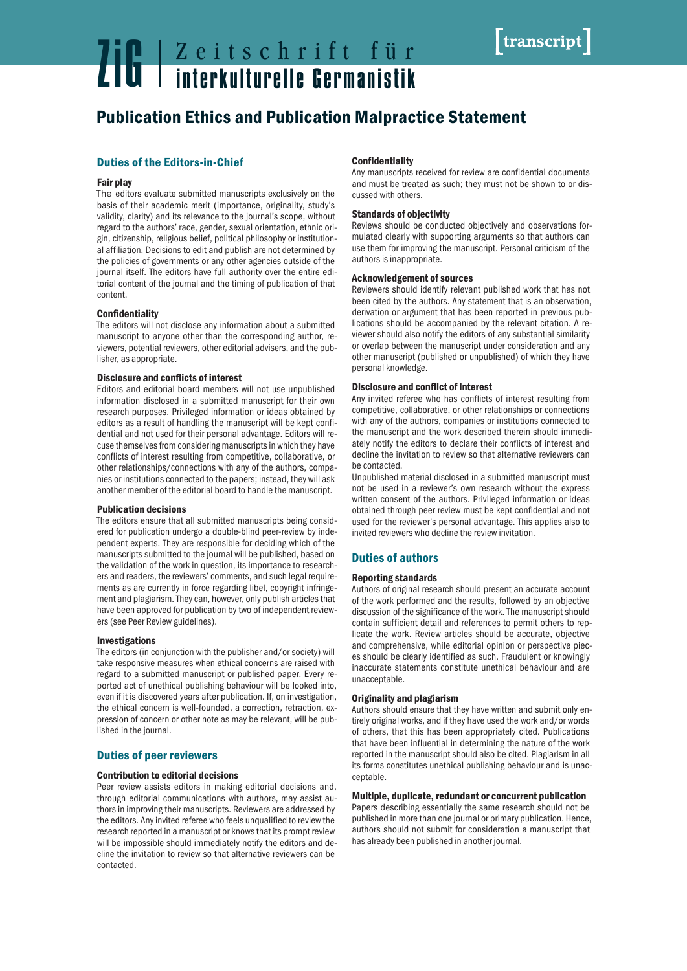# **Zeitschrift für Zeitschrift für**<br>The **Exploration interkulturelle Germanistik**

# Publication Ethics and Publication Malpractice Statement

# Duties of the Editors-in-Chief

# Fair play

The editors evaluate submitted manuscripts exclusively on the basis of their academic merit (importance, originality, study's validity, clarity) and its relevance to the journal's scope, without regard to the authors' race, gender, sexual orientation, ethnic origin, citizenship, religious belief, political philosophy or institutional affiliation. Decisions to edit and publish are not determined by the policies of governments or any other agencies outside of the journal itself. The editors have full authority over the entire editorial content of the journal and the timing of publication of that content.

# Confidentiality

The editors will not disclose any information about a submitted manuscript to anyone other than the corresponding author, reviewers, potential reviewers, other editorial advisers, and the publisher, as appropriate.

# Disclosure and conflicts of interest

Editors and editorial board members will not use unpublished information disclosed in a submitted manuscript for their own research purposes. Privileged information or ideas obtained by editors as a result of handling the manuscript will be kept confidential and not used for their personal advantage. Editors will recuse themselves from considering manuscripts in which they have conflicts of interest resulting from competitive, collaborative, or other relationships/connections with any of the authors, companies or institutions connected to the papers; instead, they will ask another member of the editorial board to handle the manuscript.

### Publication decisions

The editors ensure that all submitted manuscripts being considered for publication undergo a double-blind peer-review by independent experts. They are responsible for deciding which of the manuscripts submitted to the journal will be published, based on the validation of the work in question, its importance to researchers and readers, the reviewers' comments, and such legal requirements as are currently in force regarding libel, copyright infringement and plagiarism. They can, however, only publish articles that have been approved for publication by two of independent reviewers (see Peer Review guidelines).

### Investigations

The editors (in conjunction with the publisher and/or society) will take responsive measures when ethical concerns are raised with regard to a submitted manuscript or published paper. Every reported act of unethical publishing behaviour will be looked into, even if it is discovered years after publication. If, on investigation, the ethical concern is well-founded, a correction, retraction, expression of concern or other note as may be relevant, will be published in the journal.

# Duties of peer reviewers

# Contribution to editorial decisions

Peer review assists editors in making editorial decisions and, through editorial communications with authors, may assist authors in improving their manuscripts. Reviewers are addressed by the editors. Any invited referee who feels unqualified to review the research reported in a manuscript or knows that its prompt review will be impossible should immediately notify the editors and decline the invitation to review so that alternative reviewers can be contacted.

# **Confidentiality**

Any manuscripts received for review are confidential documents and must be treated as such; they must not be shown to or discussed with others.

# Standards of objectivity

Reviews should be conducted objectively and observations formulated clearly with supporting arguments so that authors can use them for improving the manuscript. Personal criticism of the authors is inappropriate.

### Acknowledgement of sources

Reviewers should identify relevant published work that has not been cited by the authors. Any statement that is an observation, derivation or argument that has been reported in previous publications should be accompanied by the relevant citation. A reviewer should also notify the editors of any substantial similarity or overlap between the manuscript under consideration and any other manuscript (published or unpublished) of which they have personal knowledge.

# Disclosure and conflict of interest

Any invited referee who has conflicts of interest resulting from competitive, collaborative, or other relationships or connections with any of the authors, companies or institutions connected to the manuscript and the work described therein should immediately notify the editors to declare their conflicts of interest and decline the invitation to review so that alternative reviewers can be contacted.

Unpublished material disclosed in a submitted manuscript must not be used in a reviewer's own research without the express written consent of the authors. Privileged information or ideas obtained through peer review must be kept confidential and not used for the reviewer's personal advantage. This applies also to invited reviewers who decline the review invitation.

# Duties of authors

### Reporting standards

Authors of original research should present an accurate account of the work performed and the results, followed by an objective discussion of the significance of the work. The manuscript should contain sufficient detail and references to permit others to replicate the work. Review articles should be accurate, objective and comprehensive, while editorial opinion or perspective pieces should be clearly identified as such. Fraudulent or knowingly inaccurate statements constitute unethical behaviour and are unacceptable.

# Originality and plagiarism

Authors should ensure that they have written and submit only entirely original works, and if they have used the work and/or words of others, that this has been appropriately cited. Publications that have been influential in determining the nature of the work reported in the manuscript should also be cited. Plagiarism in all its forms constitutes unethical publishing behaviour and is unacceptable.

# Multiple, duplicate, redundant or concurrent publication

Papers describing essentially the same research should not be published in more than one journal or primary publication. Hence, authors should not submit for consideration a manuscript that has already been published in another journal.